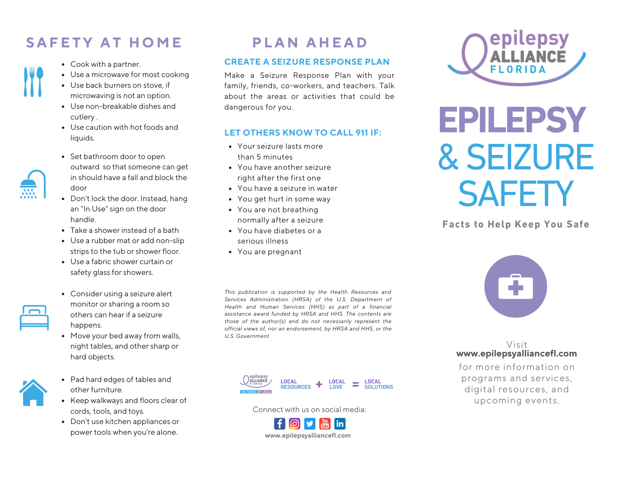## **SAFFTY AT HOME**

- Cook with a partner.
- Use a microwave for most cooking
- Use back burners on stove, if microwaving is not an option.
- Use non-breakable dishes and cutlery .
- Use caution with hot foods and liquids.
- Set bathroom door to open outward so that someone can get in should have a fall and block the door
- Don't lock the door. Instead, hang an "In Use" sign on the door handle.
- Take a shower instead of a bath
- Use a rubber mat or add non-slip strips to the tub or shower floor.
- Use a fabric shower curtain or safety glass for showers.



- Consider using a seizure alert monitor or sharing a room so others can hear if a seizure happens.
- Move your bed away from walls, night tables, and other sharp or hard objects.



- Pad hard edges of tables and other furniture.
- Keep walkways and floors clear of cords, tools, and toys.
- Don't use kitchen appliances or power tools when you're alone. **<www.epilepsyalliancefl.com>**

## **PIAN AHFAD**

#### **CREATE A SEIZURE RESPONSE PLAN**

Make a Seizure Response Plan with your family, friends, co-workers, and teachers. Talk about the areas or activities that could be dangerous for you.

### **LET OTHERS KNOW TO CALL 911 IF:**

- Your seizure lasts more than 5 minutes
- You have another seizure right after the first one
- You have a seizure in water
- You get hurt in some way
- You are not breathing normally after a seizure
- You have diabetes or a serious illness
- You are pregnant

*This publication is supported by the Health Resources and Services Administration (HRSA) of the U.S. Department of Health and Human Services (HHS) as part of a financial assistance award funded by HRSA and HHS. The contents are those of the author(s) and do not necessarily represent the official views of, nor an endorsement, by HRSA and HHS, or the U.S. Government*



Connect with us on social media:





# **EPILEPSY** & SEIZURE **SAFETY**

**Facts to Help Keep You Safe**



#### Visit **<www.epilepsyalliancefl.com>**

for more information on programs and services, digital resources, and upcoming events.